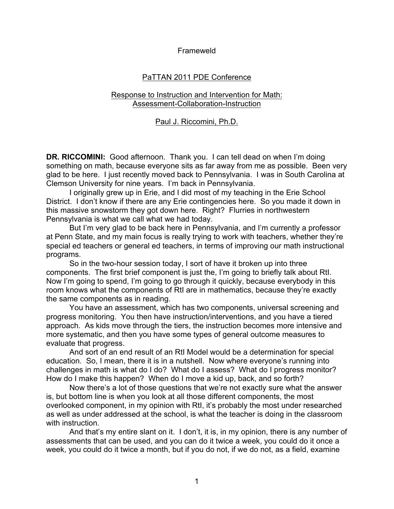### Frameweld

# PaTTAN 2011 PDE Conference

# Response to Instruction and Intervention for Math: Assessment-Collaboration-Instruction

### Paul J. Riccomini, Ph.D.

**DR. RICCOMINI:** Good afternoon. Thank you. I can tell dead on when I'm doing something on math, because everyone sits as far away from me as possible. Been very glad to be here. I just recently moved back to Pennsylvania. I was in South Carolina at Clemson University for nine years. I'm back in Pennsylvania.

I originally grew up in Erie, and I did most of my teaching in the Erie School District. I don't know if there are any Erie contingencies here. So you made it down in this massive snowstorm they got down here. Right? Flurries in northwestern Pennsylvania is what we call what we had today.

But I'm very glad to be back here in Pennsylvania, and I'm currently a professor at Penn State, and my main focus is really trying to work with teachers, whether they're special ed teachers or general ed teachers, in terms of improving our math instructional programs.

So in the two-hour session today, I sort of have it broken up into three components. The first brief component is just the, I'm going to briefly talk about RtI. Now I'm going to spend, I'm going to go through it quickly, because everybody in this room knows what the components of RtI are in mathematics, because they're exactly the same components as in reading.

You have an assessment, which has two components, universal screening and progress monitoring. You then have instruction/interventions, and you have a tiered approach. As kids move through the tiers, the instruction becomes more intensive and more systematic, and then you have some types of general outcome measures to evaluate that progress.

And sort of an end result of an RtI Model would be a determination for special education. So, I mean, there it is in a nutshell. Now where everyone's running into challenges in math is what do I do? What do I assess? What do I progress monitor? How do I make this happen? When do I move a kid up, back, and so forth?

Now there's a lot of those questions that we're not exactly sure what the answer is, but bottom line is when you look at all those different components, the most overlooked component, in my opinion with RtI, it's probably the most under researched as well as under addressed at the school, is what the teacher is doing in the classroom with instruction.

And that's my entire slant on it. I don't, it is, in my opinion, there is any number of assessments that can be used, and you can do it twice a week, you could do it once a week, you could do it twice a month, but if you do not, if we do not, as a field, examine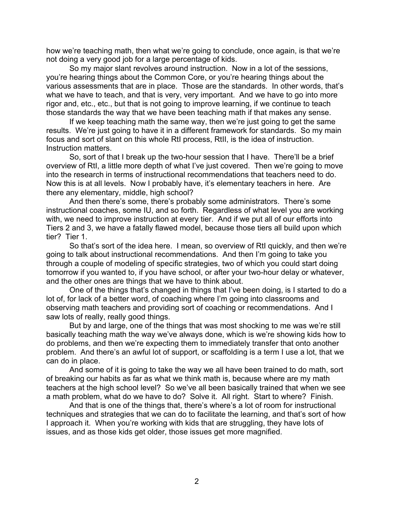how we're teaching math, then what we're going to conclude, once again, is that we're not doing a very good job for a large percentage of kids.

So my major slant revolves around instruction. Now in a lot of the sessions, you're hearing things about the Common Core, or you're hearing things about the various assessments that are in place. Those are the standards. In other words, that's what we have to teach, and that is very, very important. And we have to go into more rigor and, etc., etc., but that is not going to improve learning, if we continue to teach those standards the way that we have been teaching math if that makes any sense.

If we keep teaching math the same way, then we're just going to get the same results. We're just going to have it in a different framework for standards. So my main focus and sort of slant on this whole RtI process, RtII, is the idea of instruction. Instruction matters.

So, sort of that I break up the two-hour session that I have. There'll be a brief overview of RtI, a little more depth of what I've just covered. Then we're going to move into the research in terms of instructional recommendations that teachers need to do. Now this is at all levels. Now I probably have, it's elementary teachers in here. Are there any elementary, middle, high school?

And then there's some, there's probably some administrators. There's some instructional coaches, some IU, and so forth. Regardless of what level you are working with, we need to improve instruction at every tier. And if we put all of our efforts into Tiers 2 and 3, we have a fatally flawed model, because those tiers all build upon which tier? Tier 1.

So that's sort of the idea here. I mean, so overview of RtI quickly, and then we're going to talk about instructional recommendations. And then I'm going to take you through a couple of modeling of specific strategies, two of which you could start doing tomorrow if you wanted to, if you have school, or after your two-hour delay or whatever, and the other ones are things that we have to think about.

One of the things that's changed in things that I've been doing, is I started to do a lot of, for lack of a better word, of coaching where I'm going into classrooms and observing math teachers and providing sort of coaching or recommendations. And I saw lots of really, really good things.

But by and large, one of the things that was most shocking to me was we're still basically teaching math the way we've always done, which is we're showing kids how to do problems, and then we're expecting them to immediately transfer that onto another problem. And there's an awful lot of support, or scaffolding is a term I use a lot, that we can do in place.

And some of it is going to take the way we all have been trained to do math, sort of breaking our habits as far as what we think math is, because where are my math teachers at the high school level? So we've all been basically trained that when we see a math problem, what do we have to do? Solve it. All right. Start to where? Finish.

And that is one of the things that, there's where's a lot of room for instructional techniques and strategies that we can do to facilitate the learning, and that's sort of how I approach it. When you're working with kids that are struggling, they have lots of issues, and as those kids get older, those issues get more magnified.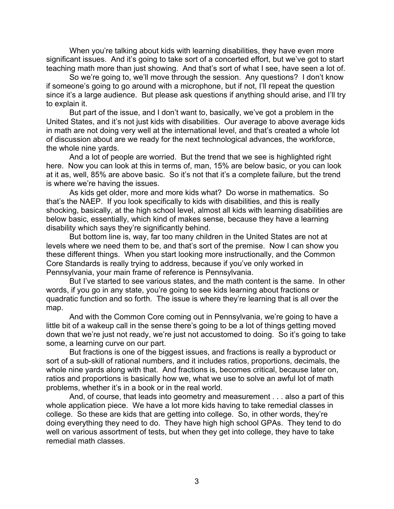When you're talking about kids with learning disabilities, they have even more significant issues. And it's going to take sort of a concerted effort, but we've got to start teaching math more than just showing. And that's sort of what I see, have seen a lot of.

So we're going to, we'll move through the session. Any questions? I don't know if someone's going to go around with a microphone, but if not, I'll repeat the question since it's a large audience. But please ask questions if anything should arise, and I'll try to explain it.

But part of the issue, and I don't want to, basically, we've got a problem in the United States, and it's not just kids with disabilities. Our average to above average kids in math are not doing very well at the international level, and that's created a whole lot of discussion about are we ready for the next technological advances, the workforce, the whole nine yards.

And a lot of people are worried. But the trend that we see is highlighted right here. Now you can look at this in terms of, man, 15% are below basic, or you can look at it as, well, 85% are above basic. So it's not that it's a complete failure, but the trend is where we're having the issues.

As kids get older, more and more kids what? Do worse in mathematics. So that's the NAEP. If you look specifically to kids with disabilities, and this is really shocking, basically, at the high school level, almost all kids with learning disabilities are below basic, essentially, which kind of makes sense, because they have a learning disability which says they're significantly behind.

But bottom line is, way, far too many children in the United States are not at levels where we need them to be, and that's sort of the premise. Now I can show you these different things. When you start looking more instructionally, and the Common Core Standards is really trying to address, because if you've only worked in Pennsylvania, your main frame of reference is Pennsylvania.

But I've started to see various states, and the math content is the same. In other words, if you go in any state, you're going to see kids learning about fractions or quadratic function and so forth. The issue is where they're learning that is all over the map.

And with the Common Core coming out in Pennsylvania, we're going to have a little bit of a wakeup call in the sense there's going to be a lot of things getting moved down that we're just not ready, we're just not accustomed to doing. So it's going to take some, a learning curve on our part.

But fractions is one of the biggest issues, and fractions is really a byproduct or sort of a sub-skill of rational numbers, and it includes ratios, proportions, decimals, the whole nine yards along with that. And fractions is, becomes critical, because later on, ratios and proportions is basically how we, what we use to solve an awful lot of math problems, whether it's in a book or in the real world.

And, of course, that leads into geometry and measurement . . . also a part of this whole application piece. We have a lot more kids having to take remedial classes in college. So these are kids that are getting into college. So, in other words, they're doing everything they need to do. They have high high school GPAs. They tend to do well on various assortment of tests, but when they get into college, they have to take remedial math classes.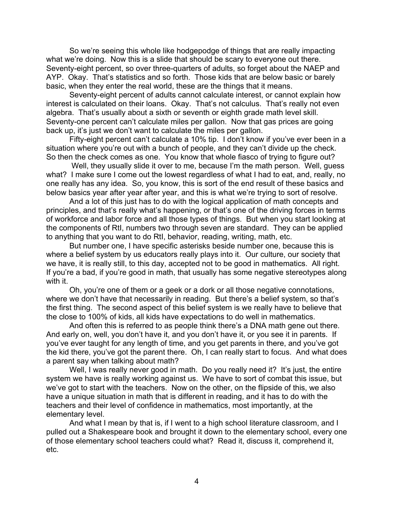So we're seeing this whole like hodgepodge of things that are really impacting what we're doing. Now this is a slide that should be scary to everyone out there. Seventy-eight percent, so over three-quarters of adults, so forget about the NAEP and AYP. Okay. That's statistics and so forth. Those kids that are below basic or barely basic, when they enter the real world, these are the things that it means.

Seventy-eight percent of adults cannot calculate interest, or cannot explain how interest is calculated on their loans. Okay. That's not calculus. That's really not even algebra. That's usually about a sixth or seventh or eighth grade math level skill. Seventy-one percent can't calculate miles per gallon. Now that gas prices are going back up, it's just we don't want to calculate the miles per gallon.

Fifty-eight percent can't calculate a 10% tip. I don't know if you've ever been in a situation where you're out with a bunch of people, and they can't divide up the check. So then the check comes as one. You know that whole fiasco of trying to figure out?

Well, they usually slide it over to me, because I'm the math person. Well, guess what? I make sure I come out the lowest regardless of what I had to eat, and, really, no one really has any idea. So, you know, this is sort of the end result of these basics and below basics year after year after year, and this is what we're trying to sort of resolve.

And a lot of this just has to do with the logical application of math concepts and principles, and that's really what's happening, or that's one of the driving forces in terms of workforce and labor force and all those types of things. But when you start looking at the components of RtI, numbers two through seven are standard. They can be applied to anything that you want to do RtI, behavior, reading, writing, math, etc.

But number one, I have specific asterisks beside number one, because this is where a belief system by us educators really plays into it. Our culture, our society that we have, it is really still, to this day, accepted not to be good in mathematics. All right. If you're a bad, if you're good in math, that usually has some negative stereotypes along with it.

Oh, you're one of them or a geek or a dork or all those negative connotations, where we don't have that necessarily in reading. But there's a belief system, so that's the first thing. The second aspect of this belief system is we really have to believe that the close to 100% of kids, all kids have expectations to do well in mathematics.

And often this is referred to as people think there's a DNA math gene out there. And early on, well, you don't have it, and you don't have it, or you see it in parents. If you've ever taught for any length of time, and you get parents in there, and you've got the kid there, you've got the parent there. Oh, I can really start to focus. And what does a parent say when talking about math?

Well, I was really never good in math. Do you really need it? It's just, the entire system we have is really working against us. We have to sort of combat this issue, but we've got to start with the teachers. Now on the other, on the flipside of this, we also have a unique situation in math that is different in reading, and it has to do with the teachers and their level of confidence in mathematics, most importantly, at the elementary level.

And what I mean by that is, if I went to a high school literature classroom, and I pulled out a Shakespeare book and brought it down to the elementary school, every one of those elementary school teachers could what? Read it, discuss it, comprehend it, etc.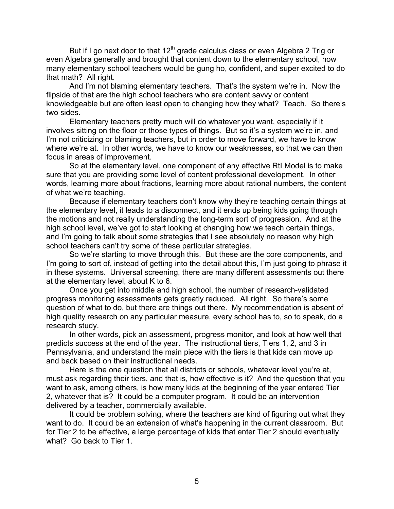But if I go next door to that  $12^{th}$  grade calculus class or even Algebra 2 Trig or even Algebra generally and brought that content down to the elementary school, how many elementary school teachers would be gung ho, confident, and super excited to do that math? All right.

And I'm not blaming elementary teachers. That's the system we're in. Now the flipside of that are the high school teachers who are content savvy or content knowledgeable but are often least open to changing how they what? Teach. So there's two sides.

Elementary teachers pretty much will do whatever you want, especially if it involves sitting on the floor or those types of things. But so it's a system we're in, and I'm not criticizing or blaming teachers, but in order to move forward, we have to know where we're at. In other words, we have to know our weaknesses, so that we can then focus in areas of improvement.

So at the elementary level, one component of any effective RtI Model is to make sure that you are providing some level of content professional development. In other words, learning more about fractions, learning more about rational numbers, the content of what we're teaching.

Because if elementary teachers don't know why they're teaching certain things at the elementary level, it leads to a disconnect, and it ends up being kids going through the motions and not really understanding the long-term sort of progression. And at the high school level, we've got to start looking at changing how we teach certain things, and I'm going to talk about some strategies that I see absolutely no reason why high school teachers can't try some of these particular strategies.

So we're starting to move through this. But these are the core components, and I'm going to sort of, instead of getting into the detail about this, I'm just going to phrase it in these systems. Universal screening, there are many different assessments out there at the elementary level, about K to 6.

Once you get into middle and high school, the number of research-validated progress monitoring assessments gets greatly reduced. All right. So there's some question of what to do, but there are things out there. My recommendation is absent of high quality research on any particular measure, every school has to, so to speak, do a research study.

In other words, pick an assessment, progress monitor, and look at how well that predicts success at the end of the year. The instructional tiers, Tiers 1, 2, and 3 in Pennsylvania, and understand the main piece with the tiers is that kids can move up and back based on their instructional needs.

Here is the one question that all districts or schools, whatever level you're at, must ask regarding their tiers, and that is, how effective is it? And the question that you want to ask, among others, is how many kids at the beginning of the year entered Tier 2, whatever that is? It could be a computer program. It could be an intervention delivered by a teacher, commercially available.

It could be problem solving, where the teachers are kind of figuring out what they want to do. It could be an extension of what's happening in the current classroom. But for Tier 2 to be effective, a large percentage of kids that enter Tier 2 should eventually what? Go back to Tier 1.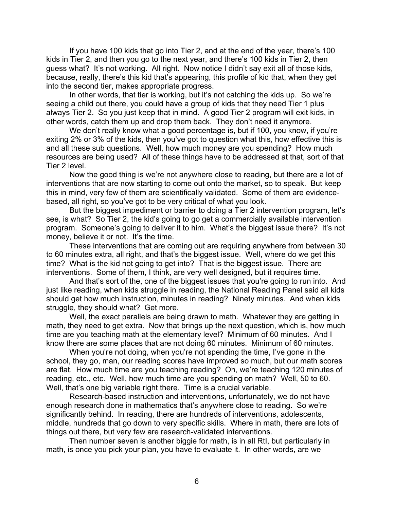If you have 100 kids that go into Tier 2, and at the end of the year, there's 100 kids in Tier 2, and then you go to the next year, and there's 100 kids in Tier 2, then guess what? It's not working. All right. Now notice I didn't say exit all of those kids, because, really, there's this kid that's appearing, this profile of kid that, when they get into the second tier, makes appropriate progress.

In other words, that tier is working, but it's not catching the kids up. So we're seeing a child out there, you could have a group of kids that they need Tier 1 plus always Tier 2. So you just keep that in mind. A good Tier 2 program will exit kids, in other words, catch them up and drop them back. They don't need it anymore.

We don't really know what a good percentage is, but if 100, you know, if you're exiting 2% or 3% of the kids, then you've got to question what this, how effective this is and all these sub questions. Well, how much money are you spending? How much resources are being used? All of these things have to be addressed at that, sort of that Tier 2 level.

Now the good thing is we're not anywhere close to reading, but there are a lot of interventions that are now starting to come out onto the market, so to speak. But keep this in mind, very few of them are scientifically validated. Some of them are evidencebased, all right, so you've got to be very critical of what you look.

But the biggest impediment or barrier to doing a Tier 2 intervention program, let's see, is what? So Tier 2, the kid's going to go get a commercially available intervention program. Someone's going to deliver it to him. What's the biggest issue there? It's not money, believe it or not. It's the time.

These interventions that are coming out are requiring anywhere from between 30 to 60 minutes extra, all right, and that's the biggest issue. Well, where do we get this time? What is the kid not going to get into? That is the biggest issue. There are interventions. Some of them, I think, are very well designed, but it requires time.

And that's sort of the, one of the biggest issues that you're going to run into. And just like reading, when kids struggle in reading, the National Reading Panel said all kids should get how much instruction, minutes in reading? Ninety minutes. And when kids struggle, they should what? Get more.

Well, the exact parallels are being drawn to math. Whatever they are getting in math, they need to get extra. Now that brings up the next question, which is, how much time are you teaching math at the elementary level? Minimum of 60 minutes. And I know there are some places that are not doing 60 minutes. Minimum of 60 minutes.

When you're not doing, when you're not spending the time, I've gone in the school, they go, man, our reading scores have improved so much, but our math scores are flat. How much time are you teaching reading? Oh, we're teaching 120 minutes of reading, etc., etc. Well, how much time are you spending on math? Well, 50 to 60. Well, that's one big variable right there. Time is a crucial variable.

Research-based instruction and interventions, unfortunately, we do not have enough research done in mathematics that's anywhere close to reading. So we're significantly behind. In reading, there are hundreds of interventions, adolescents, middle, hundreds that go down to very specific skills. Where in math, there are lots of things out there, but very few are research-validated interventions.

Then number seven is another biggie for math, is in all RtI, but particularly in math, is once you pick your plan, you have to evaluate it. In other words, are we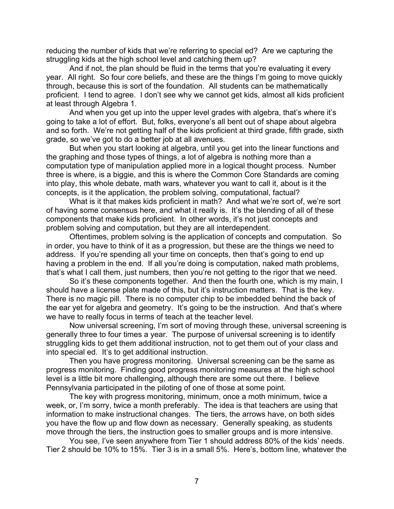reducing the number of kids that we're referring to special ed? Are we capturing the struggling kids at the high school level and catching them up?

And if not, the plan should be fluid in the terms that you're evaluating it every year. All right. So four core beliefs, and these are the things I'm going to move quickly through, because this is sort of the foundation. All students can be mathematically proficient. I tend to agree. I don't see why we cannot get kids, almost all kids proficient at least through Algebra 1.

And when you get up into the upper level grades with algebra, that's where it's going to take a lot of effort. But, folks, everyone's all bent out of shape about algebra and so forth. We're not getting half of the kids proficient at third grade, fifth grade, sixth grade, so we've got to do a better job at all avenues.

But when you start looking at algebra, until you get into the linear functions and the graphing and those types of things, a lot of algebra is nothing more than a computation type of manipulation applied more in a logical thought process. Number three is where, is a biggie, and this is where the Common Core Standards are coming into play, this whole debate, math wars, whatever you want to call it, about is it the concepts, is it the application, the problem solving, computational, factual?

What is it that makes kids proficient in math? And what we're sort of, we're sort of having some consensus here, and what it really is. It's the blending of all of these components that make kids proficient. In other words, it's not just concepts and problem solving and computation, but they are all interdependent.

Oftentimes, problem solving is the application of concepts and computation. So in order, you have to think of it as a progression, but these are the things we need to address. If you're spending all your time on concepts, then that's going to end up having a problem in the end. If all you're doing is computation, naked math problems, that's what I call them, just numbers, then you're not getting to the rigor that we need.

So it's these components together. And then the fourth one, which is my main, I should have a license plate made of this, but it's instruction matters. That is the key. There is no magic pill. There is no computer chip to be imbedded behind the back of the ear yet for algebra and geometry. It's going to be the instruction. And that's where we have to really focus in terms of teach at the teacher level.

Now universal screening, I'm sort of moving through these, universal screening is generally three to four times a year. The purpose of universal screening is to identify struggling kids to get them additional instruction, not to get them out of your class and into special ed. It's to get additional instruction.

Then you have progress monitoring. Universal screening can be the same as progress monitoring. Finding good progress monitoring measures at the high school level is a little bit more challenging, although there are some out there. I believe Pennsylvania participated in the piloting of one of those at some point.

The key with progress monitoring, minimum, once a moth minimum, twice a week, or, I'm sorry, twice a month preferably. The idea is that teachers are using that information to make instructional changes. The tiers, the arrows have, on both sides you have the flow up and flow down as necessary. Generally speaking, as students move through the tiers, the instruction goes to smaller groups and is more intensive.

You see, I've seen anywhere from Tier 1 should address 80% of the kids' needs. Tier 2 should be 10% to 15%. Tier 3 is in a small 5%. Here's, bottom line, whatever the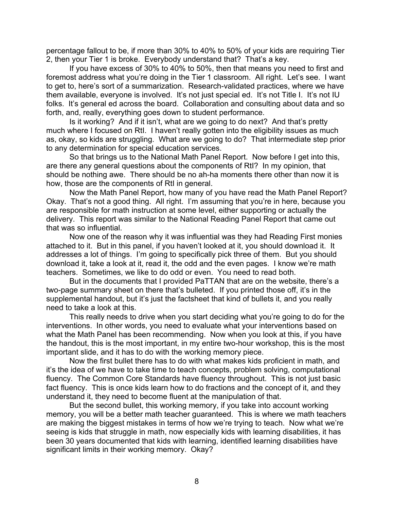percentage fallout to be, if more than 30% to 40% to 50% of your kids are requiring Tier 2, then your Tier 1 is broke. Everybody understand that? That's a key.

If you have excess of 30% to 40% to 50%, then that means you need to first and foremost address what you're doing in the Tier 1 classroom. All right. Let's see. I want to get to, here's sort of a summarization. Research-validated practices, where we have them available, everyone is involved. It's not just special ed. It's not Title I. It's not IU folks. It's general ed across the board. Collaboration and consulting about data and so forth, and, really, everything goes down to student performance.

Is it working? And if it isn't, what are we going to do next? And that's pretty much where I focused on RtI. I haven't really gotten into the eligibility issues as much as, okay, so kids are struggling. What are we going to do? That intermediate step prior to any determination for special education services.

So that brings us to the National Math Panel Report. Now before I get into this, are there any general questions about the components of RtI? In my opinion, that should be nothing awe. There should be no ah-ha moments there other than now it is how, those are the components of RtI in general.

Now the Math Panel Report, how many of you have read the Math Panel Report? Okay. That's not a good thing. All right. I'm assuming that you're in here, because you are responsible for math instruction at some level, either supporting or actually the delivery. This report was similar to the National Reading Panel Report that came out that was so influential.

Now one of the reason why it was influential was they had Reading First monies attached to it. But in this panel, if you haven't looked at it, you should download it. It addresses a lot of things. I'm going to specifically pick three of them. But you should download it, take a look at it, read it, the odd and the even pages. I know we're math teachers. Sometimes, we like to do odd or even. You need to read both.

But in the documents that I provided PaTTAN that are on the website, there's a two-page summary sheet on there that's bulleted. If you printed those off, it's in the supplemental handout, but it's just the factsheet that kind of bullets it, and you really need to take a look at this.

This really needs to drive when you start deciding what you're going to do for the interventions. In other words, you need to evaluate what your interventions based on what the Math Panel has been recommending. Now when you look at this, if you have the handout, this is the most important, in my entire two-hour workshop, this is the most important slide, and it has to do with the working memory piece.

Now the first bullet there has to do with what makes kids proficient in math, and it's the idea of we have to take time to teach concepts, problem solving, computational fluency. The Common Core Standards have fluency throughout. This is not just basic fact fluency. This is once kids learn how to do fractions and the concept of it, and they understand it, they need to become fluent at the manipulation of that.

But the second bullet, this working memory, if you take into account working memory, you will be a better math teacher guaranteed. This is where we math teachers are making the biggest mistakes in terms of how we're trying to teach. Now what we're seeing is kids that struggle in math, now especially kids with learning disabilities, it has been 30 years documented that kids with learning, identified learning disabilities have significant limits in their working memory. Okay?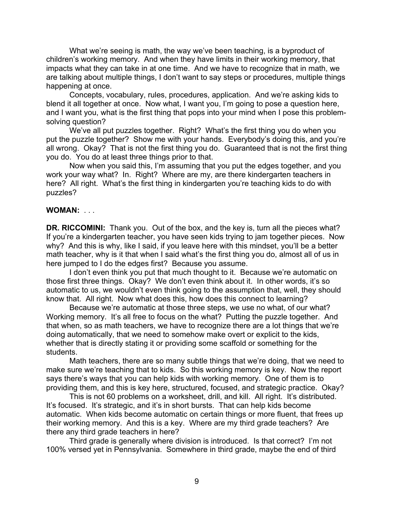What we're seeing is math, the way we've been teaching, is a byproduct of children's working memory. And when they have limits in their working memory, that impacts what they can take in at one time. And we have to recognize that in math, we are talking about multiple things, I don't want to say steps or procedures, multiple things happening at once.

Concepts, vocabulary, rules, procedures, application. And we're asking kids to blend it all together at once. Now what, I want you, I'm going to pose a question here, and I want you, what is the first thing that pops into your mind when I pose this problemsolving question?

We've all put puzzles together. Right? What's the first thing you do when you put the puzzle together? Show me with your hands. Everybody's doing this, and you're all wrong. Okay? That is not the first thing you do. Guaranteed that is not the first thing you do. You do at least three things prior to that.

Now when you said this, I'm assuming that you put the edges together, and you work your way what? In. Right? Where are my, are there kindergarten teachers in here? All right. What's the first thing in kindergarten you're teaching kids to do with puzzles?

### **WOMAN:** . . .

**DR. RICCOMINI:** Thank you. Out of the box, and the key is, turn all the pieces what? If you're a kindergarten teacher, you have seen kids trying to jam together pieces. Now why? And this is why, like I said, if you leave here with this mindset, you'll be a better math teacher, why is it that when I said what's the first thing you do, almost all of us in here jumped to I do the edges first? Because you assume.

I don't even think you put that much thought to it. Because we're automatic on those first three things. Okay? We don't even think about it. In other words, it's so automatic to us, we wouldn't even think going to the assumption that, well, they should know that. All right. Now what does this, how does this connect to learning?

Because we're automatic at those three steps, we use no what, of our what? Working memory. It's all free to focus on the what? Putting the puzzle together. And that when, so as math teachers, we have to recognize there are a lot things that we're doing automatically, that we need to somehow make overt or explicit to the kids, whether that is directly stating it or providing some scaffold or something for the students.

Math teachers, there are so many subtle things that we're doing, that we need to make sure we're teaching that to kids. So this working memory is key. Now the report says there's ways that you can help kids with working memory. One of them is to providing them, and this is key here, structured, focused, and strategic practice. Okay?

This is not 60 problems on a worksheet, drill, and kill. All right. It's distributed. It's focused. It's strategic, and it's in short bursts. That can help kids become automatic. When kids become automatic on certain things or more fluent, that frees up their working memory. And this is a key. Where are my third grade teachers? Are there any third grade teachers in here?

Third grade is generally where division is introduced. Is that correct? I'm not 100% versed yet in Pennsylvania. Somewhere in third grade, maybe the end of third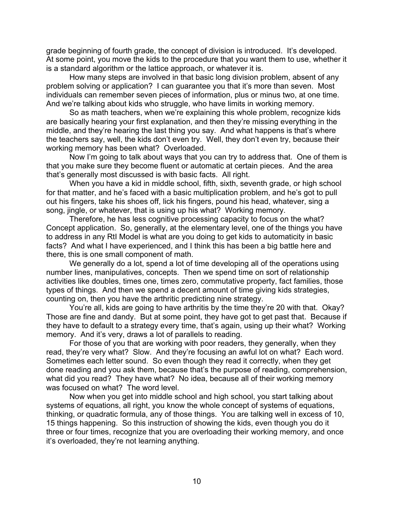grade beginning of fourth grade, the concept of division is introduced. It's developed. At some point, you move the kids to the procedure that you want them to use, whether it is a standard algorithm or the lattice approach, or whatever it is.

How many steps are involved in that basic long division problem, absent of any problem solving or application? I can guarantee you that it's more than seven. Most individuals can remember seven pieces of information, plus or minus two, at one time. And we're talking about kids who struggle, who have limits in working memory.

So as math teachers, when we're explaining this whole problem, recognize kids are basically hearing your first explanation, and then they're missing everything in the middle, and they're hearing the last thing you say. And what happens is that's where the teachers say, well, the kids don't even try. Well, they don't even try, because their working memory has been what? Overloaded.

Now I'm going to talk about ways that you can try to address that. One of them is that you make sure they become fluent or automatic at certain pieces. And the area that's generally most discussed is with basic facts. All right.

When you have a kid in middle school, fifth, sixth, seventh grade, or high school for that matter, and he's faced with a basic multiplication problem, and he's got to pull out his fingers, take his shoes off, lick his fingers, pound his head, whatever, sing a song, jingle, or whatever, that is using up his what? Working memory.

Therefore, he has less cognitive processing capacity to focus on the what? Concept application. So, generally, at the elementary level, one of the things you have to address in any RtI Model is what are you doing to get kids to automaticity in basic facts? And what I have experienced, and I think this has been a big battle here and there, this is one small component of math.

We generally do a lot, spend a lot of time developing all of the operations using number lines, manipulatives, concepts. Then we spend time on sort of relationship activities like doubles, times one, times zero, commutative property, fact families, those types of things. And then we spend a decent amount of time giving kids strategies, counting on, then you have the arthritic predicting nine strategy.

You're all, kids are going to have arthritis by the time they're 20 with that. Okay? Those are fine and dandy. But at some point, they have got to get past that. Because if they have to default to a strategy every time, that's again, using up their what? Working memory. And it's very, draws a lot of parallels to reading.

For those of you that are working with poor readers, they generally, when they read, they're very what? Slow. And they're focusing an awful lot on what? Each word. Sometimes each letter sound. So even though they read it correctly, when they get done reading and you ask them, because that's the purpose of reading, comprehension, what did you read? They have what? No idea, because all of their working memory was focused on what? The word level.

Now when you get into middle school and high school, you start talking about systems of equations, all right, you know the whole concept of systems of equations, thinking, or quadratic formula, any of those things. You are talking well in excess of 10, 15 things happening. So this instruction of showing the kids, even though you do it three or four times, recognize that you are overloading their working memory, and once it's overloaded, they're not learning anything.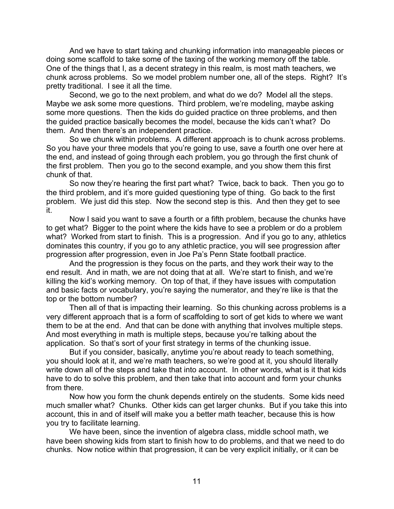And we have to start taking and chunking information into manageable pieces or doing some scaffold to take some of the taxing of the working memory off the table. One of the things that I, as a decent strategy in this realm, is most math teachers, we chunk across problems. So we model problem number one, all of the steps. Right? It's pretty traditional. I see it all the time.

Second, we go to the next problem, and what do we do? Model all the steps. Maybe we ask some more questions. Third problem, we're modeling, maybe asking some more questions. Then the kids do guided practice on three problems, and then the guided practice basically becomes the model, because the kids can't what? Do them. And then there's an independent practice.

So we chunk within problems. A different approach is to chunk across problems. So you have your three models that you're going to use, save a fourth one over here at the end, and instead of going through each problem, you go through the first chunk of the first problem. Then you go to the second example, and you show them this first chunk of that.

So now they're hearing the first part what? Twice, back to back. Then you go to the third problem, and it's more guided questioning type of thing. Go back to the first problem. We just did this step. Now the second step is this. And then they get to see it.

Now I said you want to save a fourth or a fifth problem, because the chunks have to get what? Bigger to the point where the kids have to see a problem or do a problem what? Worked from start to finish. This is a progression. And if you go to any, athletics dominates this country, if you go to any athletic practice, you will see progression after progression after progression, even in Joe Pa's Penn State football practice.

And the progression is they focus on the parts, and they work their way to the end result. And in math, we are not doing that at all. We're start to finish, and we're killing the kid's working memory. On top of that, if they have issues with computation and basic facts or vocabulary, you're saying the numerator, and they're like is that the top or the bottom number?

Then all of that is impacting their learning. So this chunking across problems is a very different approach that is a form of scaffolding to sort of get kids to where we want them to be at the end. And that can be done with anything that involves multiple steps. And most everything in math is multiple steps, because you're talking about the application. So that's sort of your first strategy in terms of the chunking issue.

But if you consider, basically, anytime you're about ready to teach something, you should look at it, and we're math teachers, so we're good at it, you should literally write down all of the steps and take that into account. In other words, what is it that kids have to do to solve this problem, and then take that into account and form your chunks from there.

Now how you form the chunk depends entirely on the students. Some kids need much smaller what? Chunks. Other kids can get larger chunks. But if you take this into account, this in and of itself will make you a better math teacher, because this is how you try to facilitate learning.

We have been, since the invention of algebra class, middle school math, we have been showing kids from start to finish how to do problems, and that we need to do chunks. Now notice within that progression, it can be very explicit initially, or it can be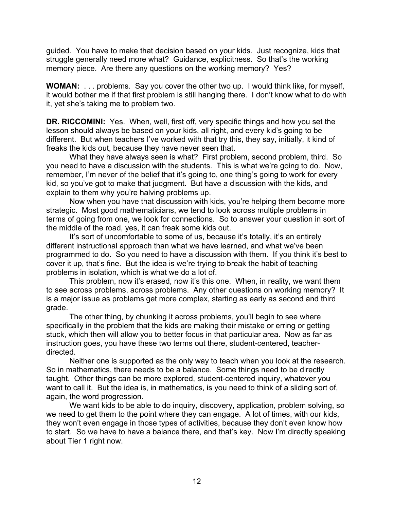guided. You have to make that decision based on your kids. Just recognize, kids that struggle generally need more what? Guidance, explicitness. So that's the working memory piece. Are there any questions on the working memory? Yes?

**WOMAN:** . . . problems. Say you cover the other two up. I would think like, for myself, it would bother me if that first problem is still hanging there. I don't know what to do with it, yet she's taking me to problem two.

**DR. RICCOMINI:** Yes. When, well, first off, very specific things and how you set the lesson should always be based on your kids, all right, and every kid's going to be different. But when teachers I've worked with that try this, they say, initially, it kind of freaks the kids out, because they have never seen that.

What they have always seen is what? First problem, second problem, third. So you need to have a discussion with the students. This is what we're going to do. Now, remember, I'm never of the belief that it's going to, one thing's going to work for every kid, so you've got to make that judgment. But have a discussion with the kids, and explain to them why you're halving problems up.

Now when you have that discussion with kids, you're helping them become more strategic. Most good mathematicians, we tend to look across multiple problems in terms of going from one, we look for connections. So to answer your question in sort of the middle of the road, yes, it can freak some kids out.

It's sort of uncomfortable to some of us, because it's totally, it's an entirely different instructional approach than what we have learned, and what we've been programmed to do. So you need to have a discussion with them. If you think it's best to cover it up, that's fine. But the idea is we're trying to break the habit of teaching problems in isolation, which is what we do a lot of.

This problem, now it's erased, now it's this one. When, in reality, we want them to see across problems, across problems. Any other questions on working memory? It is a major issue as problems get more complex, starting as early as second and third grade.

The other thing, by chunking it across problems, you'll begin to see where specifically in the problem that the kids are making their mistake or erring or getting stuck, which then will allow you to better focus in that particular area. Now as far as instruction goes, you have these two terms out there, student-centered, teacherdirected.

Neither one is supported as the only way to teach when you look at the research. So in mathematics, there needs to be a balance. Some things need to be directly taught. Other things can be more explored, student-centered inquiry, whatever you want to call it. But the idea is, in mathematics, is you need to think of a sliding sort of, again, the word progression.

We want kids to be able to do inquiry, discovery, application, problem solving, so we need to get them to the point where they can engage. A lot of times, with our kids, they won't even engage in those types of activities, because they don't even know how to start. So we have to have a balance there, and that's key. Now I'm directly speaking about Tier 1 right now.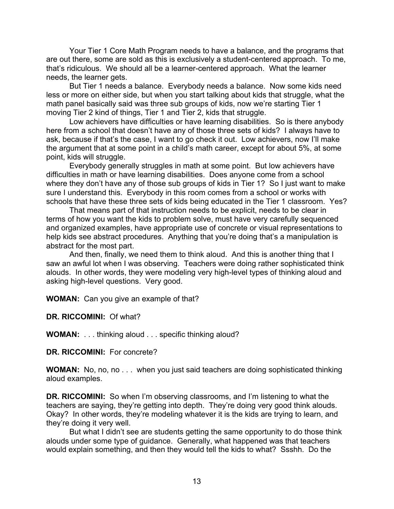Your Tier 1 Core Math Program needs to have a balance, and the programs that are out there, some are sold as this is exclusively a student-centered approach. To me, that's ridiculous. We should all be a learner-centered approach. What the learner needs, the learner gets.

But Tier 1 needs a balance. Everybody needs a balance. Now some kids need less or more on either side, but when you start talking about kids that struggle, what the math panel basically said was three sub groups of kids, now we're starting Tier 1 moving Tier 2 kind of things, Tier 1 and Tier 2, kids that struggle.

Low achievers have difficulties or have learning disabilities. So is there anybody here from a school that doesn't have any of those three sets of kids? I always have to ask, because if that's the case, I want to go check it out. Low achievers, now I'll make the argument that at some point in a child's math career, except for about 5%, at some point, kids will struggle.

Everybody generally struggles in math at some point. But low achievers have difficulties in math or have learning disabilities. Does anyone come from a school where they don't have any of those sub groups of kids in Tier 1? So I just want to make sure I understand this. Everybody in this room comes from a school or works with schools that have these three sets of kids being educated in the Tier 1 classroom. Yes?

That means part of that instruction needs to be explicit, needs to be clear in terms of how you want the kids to problem solve, must have very carefully sequenced and organized examples, have appropriate use of concrete or visual representations to help kids see abstract procedures. Anything that you're doing that's a manipulation is abstract for the most part.

And then, finally, we need them to think aloud. And this is another thing that I saw an awful lot when I was observing. Teachers were doing rather sophisticated think alouds. In other words, they were modeling very high-level types of thinking aloud and asking high-level questions. Very good.

**WOMAN:** Can you give an example of that?

**DR. RICCOMINI:** Of what?

**WOMAN:** . . . thinking aloud . . . specific thinking aloud?

**DR. RICCOMINI:** For concrete?

**WOMAN:** No, no, no . . . when you just said teachers are doing sophisticated thinking aloud examples.

**DR. RICCOMINI:** So when I'm observing classrooms, and I'm listening to what the teachers are saying, they're getting into depth. They're doing very good think alouds. Okay? In other words, they're modeling whatever it is the kids are trying to learn, and they're doing it very well.

But what I didn't see are students getting the same opportunity to do those think alouds under some type of guidance. Generally, what happened was that teachers would explain something, and then they would tell the kids to what? Ssshh. Do the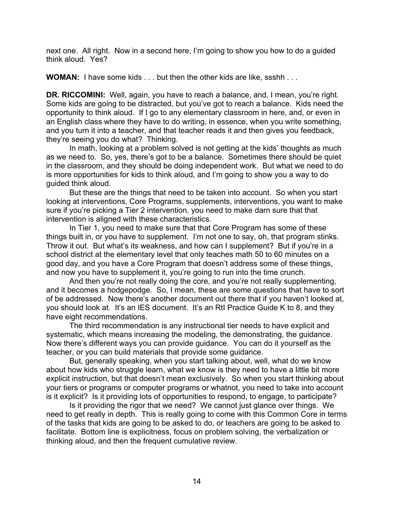next one. All right. Now in a second here, I'm going to show you how to do a guided think aloud. Yes?

**WOMAN:** I have some kids . . . but then the other kids are like, ssshh . . .

**DR. RICCOMINI:** Well, again, you have to reach a balance, and, I mean, you're right. Some kids are going to be distracted, but you've got to reach a balance. Kids need the opportunity to think aloud. If I go to any elementary classroom in here, and, or even in an English class where they have to do writing, in essence, when you write something, and you turn it into a teacher, and that teacher reads it and then gives you feedback, they're seeing you do what? Thinking.

In math, looking at a problem solved is not getting at the kids' thoughts as much as we need to. So, yes, there's got to be a balance. Sometimes there should be quiet in the classroom, and they should be doing independent work. But what we need to do is more opportunities for kids to think aloud, and I'm going to show you a way to do guided think aloud.

But these are the things that need to be taken into account. So when you start looking at interventions, Core Programs, supplements, interventions, you want to make sure if you're picking a Tier 2 intervention, you need to make darn sure that that intervention is aligned with these characteristics.

In Tier 1, you need to make sure that that Core Program has some of these things built in, or you have to supplement. I'm not one to say, oh, that program stinks. Throw it out. But what's its weakness, and how can I supplement? But if you're in a school district at the elementary level that only teaches math 50 to 60 minutes on a good day, and you have a Core Program that doesn't address some of these things, and now you have to supplement it, you're going to run into the time crunch.

And then you're not really doing the core, and you're not really supplementing, and it becomes a hodgepodge. So, I mean, these are some questions that have to sort of be addressed. Now there's another document out there that if you haven't looked at, you should look at. It's an IES document. It's an RtI Practice Guide K to 8, and they have eight recommendations.

The third recommendation is any instructional tier needs to have explicit and systematic, which means increasing the modeling, the demonstrating, the guidance. Now there's different ways you can provide guidance. You can do it yourself as the teacher, or you can build materials that provide some guidance.

But, generally speaking, when you start talking about, well, what do we know about how kids who struggle learn, what we know is they need to have a little bit more explicit instruction, but that doesn't mean exclusively. So when you start thinking about your tiers or programs or computer programs or whatnot, you need to take into account is it explicit? Is it providing lots of opportunities to respond, to engage, to participate?

Is it providing the rigor that we need? We cannot just glance over things. We need to get really in depth. This is really going to come with this Common Core in terms of the tasks that kids are going to be asked to do, or teachers are going to be asked to facilitate. Bottom line is explicitness, focus on problem solving, the verbalization or thinking aloud, and then the frequent cumulative review.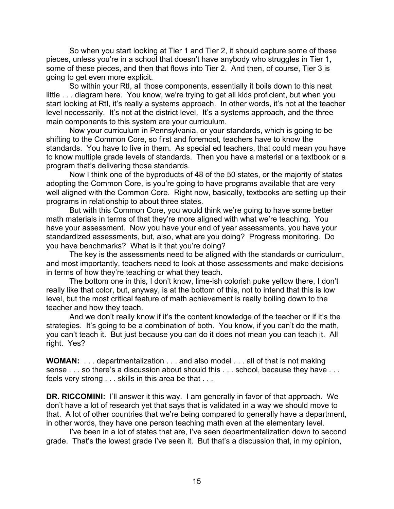So when you start looking at Tier 1 and Tier 2, it should capture some of these pieces, unless you're in a school that doesn't have anybody who struggles in Tier 1, some of these pieces, and then that flows into Tier 2. And then, of course, Tier 3 is going to get even more explicit.

So within your RtI, all those components, essentially it boils down to this neat little . . . diagram here. You know, we're trying to get all kids proficient, but when you start looking at RtI, it's really a systems approach. In other words, it's not at the teacher level necessarily. It's not at the district level. It's a systems approach, and the three main components to this system are your curriculum.

Now your curriculum in Pennsylvania, or your standards, which is going to be shifting to the Common Core, so first and foremost, teachers have to know the standards. You have to live in them. As special ed teachers, that could mean you have to know multiple grade levels of standards. Then you have a material or a textbook or a program that's delivering those standards.

Now I think one of the byproducts of 48 of the 50 states, or the majority of states adopting the Common Core, is you're going to have programs available that are very well aligned with the Common Core. Right now, basically, textbooks are setting up their programs in relationship to about three states.

But with this Common Core, you would think we're going to have some better math materials in terms of that they're more aligned with what we're teaching. You have your assessment. Now you have your end of year assessments, you have your standardized assessments, but, also, what are you doing? Progress monitoring. Do you have benchmarks? What is it that you're doing?

The key is the assessments need to be aligned with the standards or curriculum, and most importantly, teachers need to look at those assessments and make decisions in terms of how they're teaching or what they teach.

The bottom one in this, I don't know, lime-ish colorish puke yellow there, I don't really like that color, but, anyway, is at the bottom of this, not to intend that this is low level, but the most critical feature of math achievement is really boiling down to the teacher and how they teach.

And we don't really know if it's the content knowledge of the teacher or if it's the strategies. It's going to be a combination of both. You know, if you can't do the math, you can't teach it. But just because you can do it does not mean you can teach it. All right. Yes?

**WOMAN:** . . . departmentalization . . . and also model . . . all of that is not making sense . . . so there's a discussion about should this . . . school, because they have . . . feels very strong . . . skills in this area be that . . .

**DR. RICCOMINI:** I'll answer it this way. I am generally in favor of that approach. We don't have a lot of research yet that says that is validated in a way we should move to that. A lot of other countries that we're being compared to generally have a department, in other words, they have one person teaching math even at the elementary level.

I've been in a lot of states that are, I've seen departmentalization down to second grade. That's the lowest grade I've seen it. But that's a discussion that, in my opinion,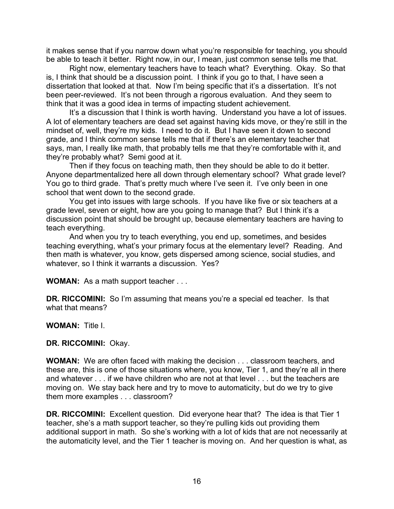it makes sense that if you narrow down what you're responsible for teaching, you should be able to teach it better. Right now, in our, I mean, just common sense tells me that.

Right now, elementary teachers have to teach what? Everything. Okay. So that is, I think that should be a discussion point. I think if you go to that, I have seen a dissertation that looked at that. Now I'm being specific that it's a dissertation. It's not been peer-reviewed. It's not been through a rigorous evaluation. And they seem to think that it was a good idea in terms of impacting student achievement.

It's a discussion that I think is worth having. Understand you have a lot of issues. A lot of elementary teachers are dead set against having kids move, or they're still in the mindset of, well, they're my kids. I need to do it. But I have seen it down to second grade, and I think common sense tells me that if there's an elementary teacher that says, man, I really like math, that probably tells me that they're comfortable with it, and they're probably what? Semi good at it.

Then if they focus on teaching math, then they should be able to do it better. Anyone departmentalized here all down through elementary school? What grade level? You go to third grade. That's pretty much where I've seen it. I've only been in one school that went down to the second grade.

You get into issues with large schools. If you have like five or six teachers at a grade level, seven or eight, how are you going to manage that? But I think it's a discussion point that should be brought up, because elementary teachers are having to teach everything.

And when you try to teach everything, you end up, sometimes, and besides teaching everything, what's your primary focus at the elementary level? Reading. And then math is whatever, you know, gets dispersed among science, social studies, and whatever, so I think it warrants a discussion. Yes?

**WOMAN:** As a math support teacher . . .

**DR. RICCOMINI:** So I'm assuming that means you're a special ed teacher. Is that what that means?

**WOMAN:** Title I.

**DR. RICCOMINI:** Okay.

**WOMAN:** We are often faced with making the decision . . . classroom teachers, and these are, this is one of those situations where, you know, Tier 1, and they're all in there and whatever . . . if we have children who are not at that level . . . but the teachers are moving on. We stay back here and try to move to automaticity, but do we try to give them more examples . . . classroom?

**DR. RICCOMINI:** Excellent question. Did everyone hear that? The idea is that Tier 1 teacher, she's a math support teacher, so they're pulling kids out providing them additional support in math. So she's working with a lot of kids that are not necessarily at the automaticity level, and the Tier 1 teacher is moving on. And her question is what, as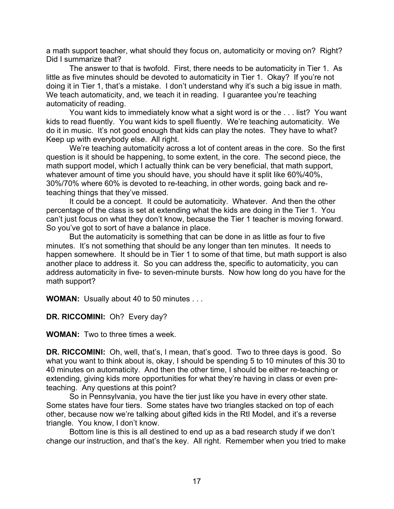a math support teacher, what should they focus on, automaticity or moving on? Right? Did I summarize that?

The answer to that is twofold. First, there needs to be automaticity in Tier 1. As little as five minutes should be devoted to automaticity in Tier 1. Okay? If you're not doing it in Tier 1, that's a mistake. I don't understand why it's such a big issue in math. We teach automaticity, and, we teach it in reading. I guarantee you're teaching automaticity of reading.

You want kids to immediately know what a sight word is or the . . . list? You want kids to read fluently. You want kids to spell fluently. We're teaching automaticity. We do it in music. It's not good enough that kids can play the notes. They have to what? Keep up with everybody else. All right.

We're teaching automaticity across a lot of content areas in the core. So the first question is it should be happening, to some extent, in the core. The second piece, the math support model, which I actually think can be very beneficial, that math support, whatever amount of time you should have, you should have it split like 60%/40%, 30%/70% where 60% is devoted to re-teaching, in other words, going back and reteaching things that they've missed.

It could be a concept. It could be automaticity. Whatever. And then the other percentage of the class is set at extending what the kids are doing in the Tier 1. You can't just focus on what they don't know, because the Tier 1 teacher is moving forward. So you've got to sort of have a balance in place.

But the automaticity is something that can be done in as little as four to five minutes. It's not something that should be any longer than ten minutes. It needs to happen somewhere. It should be in Tier 1 to some of that time, but math support is also another place to address it. So you can address the, specific to automaticity, you can address automaticity in five- to seven-minute bursts. Now how long do you have for the math support?

**WOMAN:** Usually about 40 to 50 minutes . . .

**DR. RICCOMINI:** Oh? Every day?

**WOMAN:** Two to three times a week.

**DR. RICCOMINI:** Oh, well, that's, I mean, that's good. Two to three days is good. So what you want to think about is, okay, I should be spending 5 to 10 minutes of this 30 to 40 minutes on automaticity. And then the other time, I should be either re-teaching or extending, giving kids more opportunities for what they're having in class or even preteaching. Any questions at this point?

So in Pennsylvania, you have the tier just like you have in every other state. Some states have four tiers. Some states have two triangles stacked on top of each other, because now we're talking about gifted kids in the RtI Model, and it's a reverse triangle. You know, I don't know.

Bottom line is this is all destined to end up as a bad research study if we don't change our instruction, and that's the key. All right. Remember when you tried to make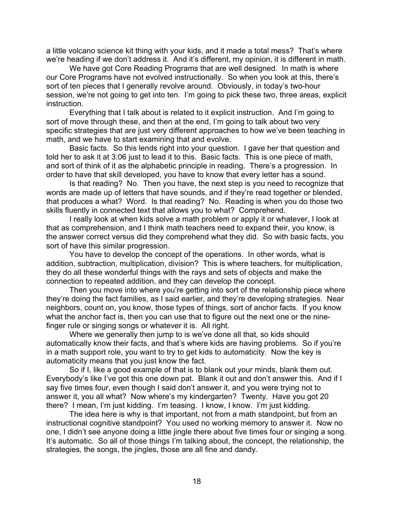a little volcano science kit thing with your kids, and it made a total mess? That's where we're heading if we don't address it. And it's different, my opinion, it is different in math.

We have got Core Reading Programs that are well designed. In math is where our Core Programs have not evolved instructionally. So when you look at this, there's sort of ten pieces that I generally revolve around. Obviously, in today's two-hour session, we're not going to get into ten. I'm going to pick these two, three areas, explicit instruction.

Everything that I talk about is related to it explicit instruction. And I'm going to sort of move through these, and then at the end, I'm going to talk about two very specific strategies that are just very different approaches to how we've been teaching in math, and we have to start examining that and evolve.

Basic facts. So this lends right into your question. I gave her that question and told her to ask it at 3:06 just to lead it to this. Basic facts. This is one piece of math, and sort of think of it as the alphabetic principle in reading. There's a progression. In order to have that skill developed, you have to know that every letter has a sound.

Is that reading? No. Then you have, the next step is you need to recognize that words are made up of letters that have sounds, and if they're read together or blended, that produces a what? Word. Is that reading? No. Reading is when you do those two skills fluently in connected text that allows you to what? Comprehend.

I really look at when kids solve a math problem or apply it or whatever, I look at that as comprehension, and I think math teachers need to expand their, you know, is the answer correct versus did they comprehend what they did. So with basic facts, you sort of have this similar progression.

You have to develop the concept of the operations. In other words, what is addition, subtraction, multiplication, division? This is where teachers, for multiplication, they do all these wonderful things with the rays and sets of objects and make the connection to repeated addition, and they can develop the concept.

Then you move into where you're getting into sort of the relationship piece where they're doing the fact families, as I said earlier, and they're developing strategies. Near neighbors, count on, you know, those types of things, sort of anchor facts. If you know what the anchor fact is, then you can use that to figure out the next one or the ninefinger rule or singing songs or whatever it is. All right.

Where we generally then jump to is we've done all that, so kids should automatically know their facts, and that's where kids are having problems. So if you're in a math support role, you want to try to get kids to automaticity. Now the key is automaticity means that you just know the fact.

So if I, like a good example of that is to blank out your minds, blank them out. Everybody's like I've got this one down pat. Blank it out and don't answer this. And if I say five times four, even though I said don't answer it, and you were trying not to answer it, you all what? Now where's my kindergarten? Twenty. Have you got 20 there? I mean, I'm just kidding. I'm teasing. I know, I know. I'm just kidding.

The idea here is why is that important, not from a math standpoint, but from an instructional cognitive standpoint? You used no working memory to answer it. Now no one, I didn't see anyone doing a little jingle there about five times four or singing a song. It's automatic. So all of those things I'm talking about, the concept, the relationship, the strategies, the songs, the jingles, those are all fine and dandy.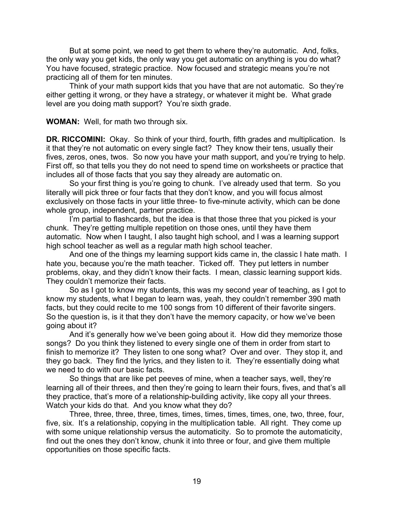But at some point, we need to get them to where they're automatic. And, folks, the only way you get kids, the only way you get automatic on anything is you do what? You have focused, strategic practice. Now focused and strategic means you're not practicing all of them for ten minutes.

Think of your math support kids that you have that are not automatic. So they're either getting it wrong, or they have a strategy, or whatever it might be. What grade level are you doing math support? You're sixth grade.

**WOMAN:** Well, for math two through six.

**DR. RICCOMINI:** Okay. So think of your third, fourth, fifth grades and multiplication. Is it that they're not automatic on every single fact? They know their tens, usually their fives, zeros, ones, twos. So now you have your math support, and you're trying to help. First off, so that tells you they do not need to spend time on worksheets or practice that includes all of those facts that you say they already are automatic on.

So your first thing is you're going to chunk. I've already used that term. So you literally will pick three or four facts that they don't know, and you will focus almost exclusively on those facts in your little three- to five-minute activity, which can be done whole group, independent, partner practice.

I'm partial to flashcards, but the idea is that those three that you picked is your chunk. They're getting multiple repetition on those ones, until they have them automatic. Now when I taught, I also taught high school, and I was a learning support high school teacher as well as a regular math high school teacher.

And one of the things my learning support kids came in, the classic I hate math. I hate you, because you're the math teacher. Ticked off. They put letters in number problems, okay, and they didn't know their facts. I mean, classic learning support kids. They couldn't memorize their facts.

So as I got to know my students, this was my second year of teaching, as I got to know my students, what I began to learn was, yeah, they couldn't remember 390 math facts, but they could recite to me 100 songs from 10 different of their favorite singers. So the question is, is it that they don't have the memory capacity, or how we've been going about it?

And it's generally how we've been going about it. How did they memorize those songs? Do you think they listened to every single one of them in order from start to finish to memorize it? They listen to one song what? Over and over. They stop it, and they go back. They find the lyrics, and they listen to it. They're essentially doing what we need to do with our basic facts.

So things that are like pet peeves of mine, when a teacher says, well, they're learning all of their threes, and then they're going to learn their fours, fives, and that's all they practice, that's more of a relationship-building activity, like copy all your threes. Watch your kids do that. And you know what they do?

Three, three, three, three, times, times, times, times, times, one, two, three, four, five, six. It's a relationship, copying in the multiplication table. All right. They come up with some unique relationship versus the automaticity. So to promote the automaticity, find out the ones they don't know, chunk it into three or four, and give them multiple opportunities on those specific facts.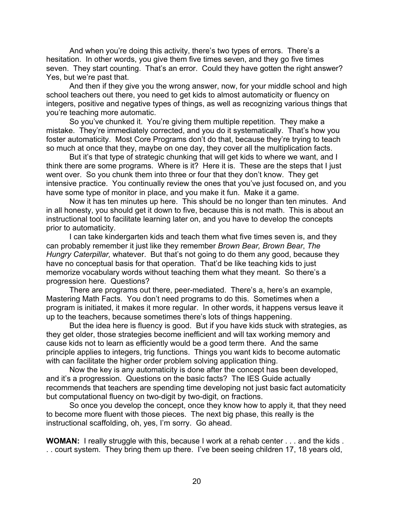And when you're doing this activity, there's two types of errors. There's a hesitation. In other words, you give them five times seven, and they go five times seven. They start counting. That's an error. Could they have gotten the right answer? Yes, but we're past that.

And then if they give you the wrong answer, now, for your middle school and high school teachers out there, you need to get kids to almost automaticity or fluency on integers, positive and negative types of things, as well as recognizing various things that you're teaching more automatic.

So you've chunked it. You're giving them multiple repetition. They make a mistake. They're immediately corrected, and you do it systematically. That's how you foster automaticity. Most Core Programs don't do that, because they're trying to teach so much at once that they, maybe on one day, they cover all the multiplication facts.

But it's that type of strategic chunking that will get kids to where we want, and I think there are some programs. Where is it? Here it is. These are the steps that I just went over. So you chunk them into three or four that they don't know. They get intensive practice. You continually review the ones that you've just focused on, and you have some type of monitor in place, and you make it fun. Make it a game.

Now it has ten minutes up here. This should be no longer than ten minutes. And in all honesty, you should get it down to five, because this is not math. This is about an instructional tool to facilitate learning later on, and you have to develop the concepts prior to automaticity.

I can take kindergarten kids and teach them what five times seven is, and they can probably remember it just like they remember *Brown Bear, Brown Bear*, *The Hungry Caterpillar,* whatever. But that's not going to do them any good, because they have no conceptual basis for that operation. That'd be like teaching kids to just memorize vocabulary words without teaching them what they meant. So there's a progression here. Questions?

There are programs out there, peer-mediated. There's a, here's an example, Mastering Math Facts. You don't need programs to do this. Sometimes when a program is initiated, it makes it more regular. In other words, it happens versus leave it up to the teachers, because sometimes there's lots of things happening.

But the idea here is fluency is good. But if you have kids stuck with strategies, as they get older, those strategies become inefficient and will tax working memory and cause kids not to learn as efficiently would be a good term there. And the same principle applies to integers, trig functions. Things you want kids to become automatic with can facilitate the higher order problem solving application thing.

Now the key is any automaticity is done after the concept has been developed, and it's a progression. Questions on the basic facts? The IES Guide actually recommends that teachers are spending time developing not just basic fact automaticity but computational fluency on two-digit by two-digit, on fractions.

So once you develop the concept, once they know how to apply it, that they need to become more fluent with those pieces. The next big phase, this really is the instructional scaffolding, oh, yes, I'm sorry. Go ahead.

**WOMAN:** I really struggle with this, because I work at a rehab center . . . and the kids . . . court system. They bring them up there. I've been seeing children 17, 18 years old,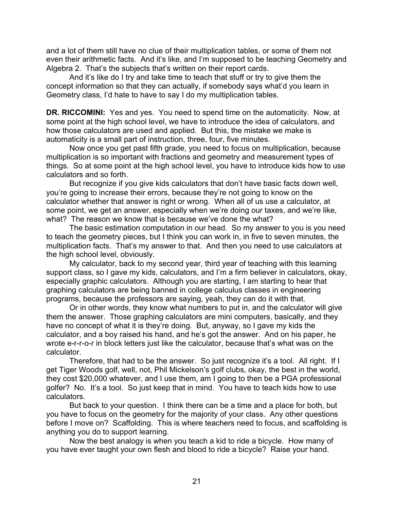and a lot of them still have no clue of their multiplication tables, or some of them not even their arithmetic facts. And it's like, and I'm supposed to be teaching Geometry and Algebra 2. That's the subjects that's written on their report cards.

And it's like do I try and take time to teach that stuff or try to give them the concept information so that they can actually, if somebody says what'd you learn in Geometry class, I'd hate to have to say I do my multiplication tables.

**DR. RICCOMINI:** Yes and yes. You need to spend time on the automaticity. Now, at some point at the high school level, we have to introduce the idea of calculators, and how those calculators are used and applied. But this, the mistake we make is automaticity is a small part of instruction, three, four, five minutes.

Now once you get past fifth grade, you need to focus on multiplication, because multiplication is so important with fractions and geometry and measurement types of things. So at some point at the high school level, you have to introduce kids how to use calculators and so forth.

But recognize if you give kids calculators that don't have basic facts down well, you're going to increase their errors, because they're not going to know on the calculator whether that answer is right or wrong. When all of us use a calculator, at some point, we get an answer, especially when we're doing our taxes, and we're like, what? The reason we know that is because we've done the what?

The basic estimation computation in our head. So my answer to you is you need to teach the geometry pieces, but I think you can work in, in five to seven minutes, the multiplication facts. That's my answer to that. And then you need to use calculators at the high school level, obviously.

My calculator, back to my second year, third year of teaching with this learning support class, so I gave my kids, calculators, and I'm a firm believer in calculators, okay, especially graphic calculators. Although you are starting, I am starting to hear that graphing calculators are being banned in college calculus classes in engineering programs, because the professors are saying, yeah, they can do it with that.

Or in other words, they know what numbers to put in, and the calculator will give them the answer. Those graphing calculators are mini computers, basically, and they have no concept of what it is they're doing. But, anyway, so I gave my kids the calculator, and a boy raised his hand, and he's got the answer. And on his paper, he wrote e-r-r-o-r in block letters just like the calculator, because that's what was on the calculator.

Therefore, that had to be the answer. So just recognize it's a tool. All right. If I get Tiger Woods golf, well, not, Phil Mickelson's golf clubs, okay, the best in the world, they cost \$20,000 whatever, and I use them, am I going to then be a PGA professional golfer? No. It's a tool. So just keep that in mind. You have to teach kids how to use calculators.

But back to your question. I think there can be a time and a place for both, but you have to focus on the geometry for the majority of your class. Any other questions before I move on? Scaffolding. This is where teachers need to focus, and scaffolding is anything you do to support learning.

Now the best analogy is when you teach a kid to ride a bicycle. How many of you have ever taught your own flesh and blood to ride a bicycle? Raise your hand.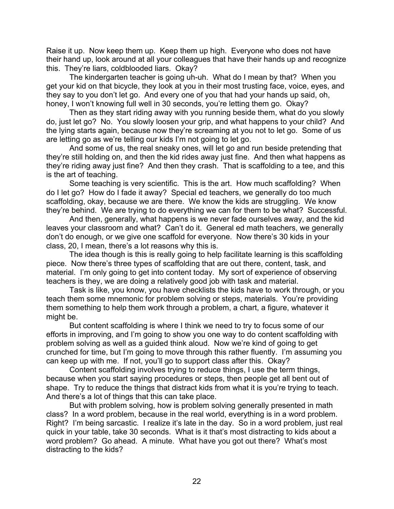Raise it up. Now keep them up. Keep them up high. Everyone who does not have their hand up, look around at all your colleagues that have their hands up and recognize this. They're liars, coldblooded liars. Okay?

The kindergarten teacher is going uh-uh. What do I mean by that? When you get your kid on that bicycle, they look at you in their most trusting face, voice, eyes, and they say to you don't let go. And every one of you that had your hands up said, oh, honey, I won't knowing full well in 30 seconds, you're letting them go. Okay?

Then as they start riding away with you running beside them, what do you slowly do, just let go? No. You slowly loosen your grip, and what happens to your child? And the lying starts again, because now they're screaming at you not to let go. Some of us are letting go as we're telling our kids I'm not going to let go.

And some of us, the real sneaky ones, will let go and run beside pretending that they're still holding on, and then the kid rides away just fine. And then what happens as they're riding away just fine? And then they crash. That is scaffolding to a tee, and this is the art of teaching.

Some teaching is very scientific. This is the art. How much scaffolding? When do I let go? How do I fade it away? Special ed teachers, we generally do too much scaffolding, okay, because we are there. We know the kids are struggling. We know they're behind. We are trying to do everything we can for them to be what? Successful.

And then, generally, what happens is we never fade ourselves away, and the kid leaves your classroom and what? Can't do it. General ed math teachers, we generally don't do enough, or we give one scaffold for everyone. Now there's 30 kids in your class, 20, I mean, there's a lot reasons why this is.

The idea though is this is really going to help facilitate learning is this scaffolding piece. Now there's three types of scaffolding that are out there, content, task, and material. I'm only going to get into content today. My sort of experience of observing teachers is they, we are doing a relatively good job with task and material.

Task is like, you know, you have checklists the kids have to work through, or you teach them some mnemonic for problem solving or steps, materials. You're providing them something to help them work through a problem, a chart, a figure, whatever it might be.

But content scaffolding is where I think we need to try to focus some of our efforts in improving, and I'm going to show you one way to do content scaffolding with problem solving as well as a guided think aloud. Now we're kind of going to get crunched for time, but I'm going to move through this rather fluently. I'm assuming you can keep up with me. If not, you'll go to support class after this. Okay?

Content scaffolding involves trying to reduce things, I use the term things, because when you start saying procedures or steps, then people get all bent out of shape. Try to reduce the things that distract kids from what it is you're trying to teach. And there's a lot of things that this can take place.

But with problem solving, how is problem solving generally presented in math class? In a word problem, because in the real world, everything is in a word problem. Right? I'm being sarcastic. I realize it's late in the day. So in a word problem, just real quick in your table, take 30 seconds. What is it that's most distracting to kids about a word problem? Go ahead. A minute. What have you got out there? What's most distracting to the kids?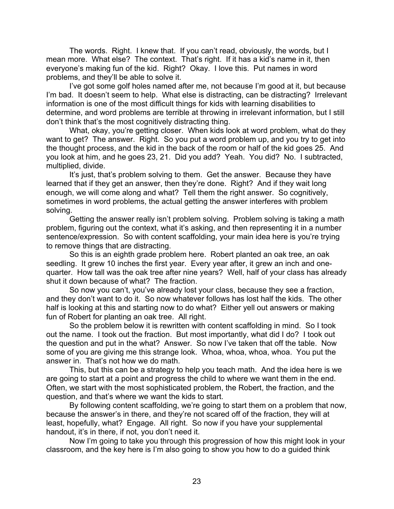The words. Right. I knew that. If you can't read, obviously, the words, but I mean more. What else? The context. That's right. If it has a kid's name in it, then everyone's making fun of the kid. Right? Okay. I love this. Put names in word problems, and they'll be able to solve it.

I've got some golf holes named after me, not because I'm good at it, but because I'm bad. It doesn't seem to help. What else is distracting, can be distracting? Irrelevant information is one of the most difficult things for kids with learning disabilities to determine, and word problems are terrible at throwing in irrelevant information, but I still don't think that's the most cognitively distracting thing.

What, okay, you're getting closer. When kids look at word problem, what do they want to get? The answer. Right. So you put a word problem up, and you try to get into the thought process, and the kid in the back of the room or half of the kid goes 25. And you look at him, and he goes 23, 21. Did you add? Yeah. You did? No. I subtracted, multiplied, divide.

It's just, that's problem solving to them. Get the answer. Because they have learned that if they get an answer, then they're done. Right? And if they wait long enough, we will come along and what? Tell them the right answer. So cognitively, sometimes in word problems, the actual getting the answer interferes with problem solving.

Getting the answer really isn't problem solving. Problem solving is taking a math problem, figuring out the context, what it's asking, and then representing it in a number sentence/expression. So with content scaffolding, your main idea here is you're trying to remove things that are distracting.

So this is an eighth grade problem here. Robert planted an oak tree, an oak seedling. It grew 10 inches the first year. Every year after, it grew an inch and onequarter. How tall was the oak tree after nine years? Well, half of your class has already shut it down because of what? The fraction.

So now you can't, you've already lost your class, because they see a fraction, and they don't want to do it. So now whatever follows has lost half the kids. The other half is looking at this and starting now to do what? Either yell out answers or making fun of Robert for planting an oak tree. All right.

So the problem below it is rewritten with content scaffolding in mind. So I took out the name. I took out the fraction. But most importantly, what did I do? I took out the question and put in the what? Answer. So now I've taken that off the table. Now some of you are giving me this strange look. Whoa, whoa, whoa, whoa. You put the answer in. That's not how we do math.

This, but this can be a strategy to help you teach math. And the idea here is we are going to start at a point and progress the child to where we want them in the end. Often, we start with the most sophisticated problem, the Robert, the fraction, and the question, and that's where we want the kids to start.

By following content scaffolding, we're going to start them on a problem that now, because the answer's in there, and they're not scared off of the fraction, they will at least, hopefully, what? Engage. All right. So now if you have your supplemental handout, it's in there, if not, you don't need it.

Now I'm going to take you through this progression of how this might look in your classroom, and the key here is I'm also going to show you how to do a guided think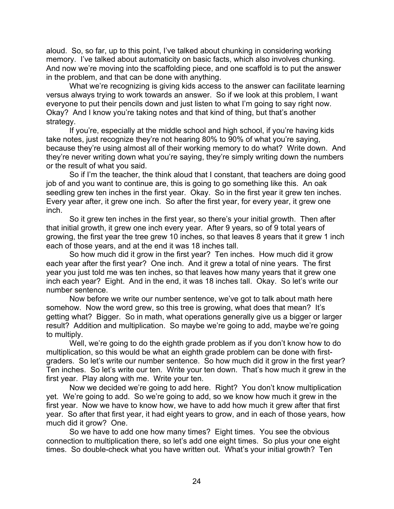aloud. So, so far, up to this point, I've talked about chunking in considering working memory. I've talked about automaticity on basic facts, which also involves chunking. And now we're moving into the scaffolding piece, and one scaffold is to put the answer in the problem, and that can be done with anything.

What we're recognizing is giving kids access to the answer can facilitate learning versus always trying to work towards an answer. So if we look at this problem, I want everyone to put their pencils down and just listen to what I'm going to say right now. Okay? And I know you're taking notes and that kind of thing, but that's another strategy.

If you're, especially at the middle school and high school, if you're having kids take notes, just recognize they're not hearing 80% to 90% of what you're saying, because they're using almost all of their working memory to do what? Write down. And they're never writing down what you're saying, they're simply writing down the numbers or the result of what you said.

So if I'm the teacher, the think aloud that I constant, that teachers are doing good job of and you want to continue are, this is going to go something like this. An oak seedling grew ten inches in the first year. Okay. So in the first year it grew ten inches. Every year after, it grew one inch. So after the first year, for every year, it grew one inch.

So it grew ten inches in the first year, so there's your initial growth. Then after that initial growth, it grew one inch every year. After 9 years, so of 9 total years of growing, the first year the tree grew 10 inches, so that leaves 8 years that it grew 1 inch each of those years, and at the end it was 18 inches tall.

So how much did it grow in the first year? Ten inches. How much did it grow each year after the first year? One inch. And it grew a total of nine years. The first year you just told me was ten inches, so that leaves how many years that it grew one inch each year? Eight. And in the end, it was 18 inches tall. Okay. So let's write our number sentence.

Now before we write our number sentence, we've got to talk about math here somehow. Now the word grew, so this tree is growing, what does that mean? It's getting what? Bigger. So in math, what operations generally give us a bigger or larger result? Addition and multiplication. So maybe we're going to add, maybe we're going to multiply.

Well, we're going to do the eighth grade problem as if you don't know how to do multiplication, so this would be what an eighth grade problem can be done with firstgraders. So let's write our number sentence. So how much did it grow in the first year? Ten inches. So let's write our ten. Write your ten down. That's how much it grew in the first year. Play along with me. Write your ten.

Now we decided we're going to add here. Right? You don't know multiplication yet. We're going to add. So we're going to add, so we know how much it grew in the first year. Now we have to know how, we have to add how much it grew after that first year. So after that first year, it had eight years to grow, and in each of those years, how much did it grow? One.

So we have to add one how many times? Eight times. You see the obvious connection to multiplication there, so let's add one eight times. So plus your one eight times. So double-check what you have written out. What's your initial growth? Ten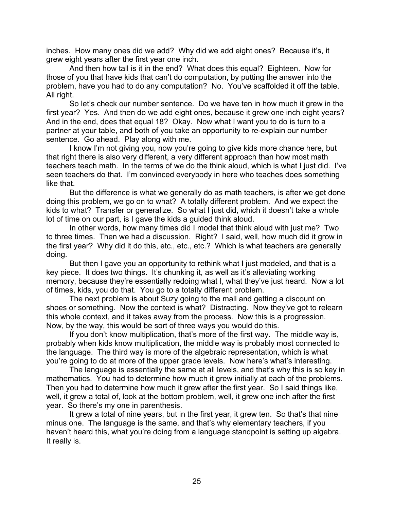inches. How many ones did we add? Why did we add eight ones? Because it's, it grew eight years after the first year one inch.

And then how tall is it in the end? What does this equal? Eighteen. Now for those of you that have kids that can't do computation, by putting the answer into the problem, have you had to do any computation? No. You've scaffolded it off the table. All right.

So let's check our number sentence. Do we have ten in how much it grew in the first year? Yes. And then do we add eight ones, because it grew one inch eight years? And in the end, does that equal 18? Okay. Now what I want you to do is turn to a partner at your table, and both of you take an opportunity to re-explain our number sentence. Go ahead. Play along with me.

I know I'm not giving you, now you're going to give kids more chance here, but that right there is also very different, a very different approach than how most math teachers teach math. In the terms of we do the think aloud, which is what I just did. I've seen teachers do that. I'm convinced everybody in here who teaches does something like that.

But the difference is what we generally do as math teachers, is after we get done doing this problem, we go on to what? A totally different problem. And we expect the kids to what? Transfer or generalize. So what I just did, which it doesn't take a whole lot of time on our part, is I gave the kids a guided think aloud.

In other words, how many times did I model that think aloud with just me? Two to three times. Then we had a discussion. Right? I said, well, how much did it grow in the first year? Why did it do this, etc., etc., etc.? Which is what teachers are generally doing.

But then I gave you an opportunity to rethink what I just modeled, and that is a key piece. It does two things. It's chunking it, as well as it's alleviating working memory, because they're essentially redoing what I, what they've just heard. Now a lot of times, kids, you do that. You go to a totally different problem.

The next problem is about Suzy going to the mall and getting a discount on shoes or something. Now the context is what? Distracting. Now they've got to relearn this whole context, and it takes away from the process. Now this is a progression. Now, by the way, this would be sort of three ways you would do this.

If you don't know multiplication, that's more of the first way. The middle way is, probably when kids know multiplication, the middle way is probably most connected to the language. The third way is more of the algebraic representation, which is what you're going to do at more of the upper grade levels. Now here's what's interesting.

The language is essentially the same at all levels, and that's why this is so key in mathematics. You had to determine how much it grew initially at each of the problems. Then you had to determine how much it grew after the first year. So I said things like, well, it grew a total of, look at the bottom problem, well, it grew one inch after the first year. So there's my one in parenthesis.

It grew a total of nine years, but in the first year, it grew ten. So that's that nine minus one. The language is the same, and that's why elementary teachers, if you haven't heard this, what you're doing from a language standpoint is setting up algebra. It really is.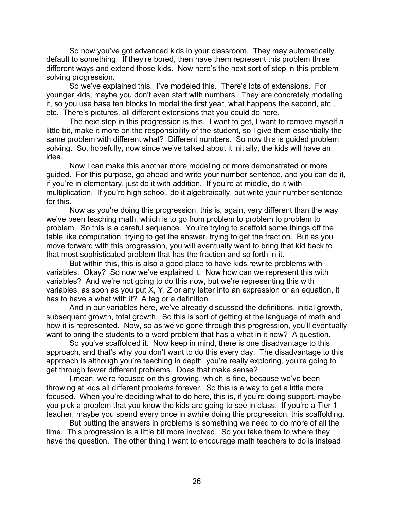So now you've got advanced kids in your classroom. They may automatically default to something. If they're bored, then have them represent this problem three different ways and extend those kids. Now here's the next sort of step in this problem solving progression.

So we've explained this. I've modeled this. There's lots of extensions. For younger kids, maybe you don't even start with numbers. They are concretely modeling it, so you use base ten blocks to model the first year, what happens the second, etc., etc. There's pictures, all different extensions that you could do here.

The next step in this progression is this. I want to get, I want to remove myself a little bit, make it more on the responsibility of the student, so I give them essentially the same problem with different what? Different numbers. So now this is guided problem solving. So, hopefully, now since we've talked about it initially, the kids will have an idea.

Now I can make this another more modeling or more demonstrated or more guided. For this purpose, go ahead and write your number sentence, and you can do it, if you're in elementary, just do it with addition. If you're at middle, do it with multiplication. If you're high school, do it algebraically, but write your number sentence for this.

Now as you're doing this progression, this is, again, very different than the way we've been teaching math, which is to go from problem to problem to problem to problem. So this is a careful sequence. You're trying to scaffold some things off the table like computation, trying to get the answer, trying to get the fraction. But as you move forward with this progression, you will eventually want to bring that kid back to that most sophisticated problem that has the fraction and so forth in it.

But within this, this is also a good place to have kids rewrite problems with variables. Okay? So now we've explained it. Now how can we represent this with variables? And we're not going to do this now, but we're representing this with variables, as soon as you put  $\overline{X}$ , Y, Z or any letter into an expression or an equation, it has to have a what with it? A tag or a definition.

And in our variables here, we've already discussed the definitions, initial growth, subsequent growth, total growth. So this is sort of getting at the language of math and how it is represented. Now, so as we've gone through this progression, you'll eventually want to bring the students to a word problem that has a what in it now? A question.

So you've scaffolded it. Now keep in mind, there is one disadvantage to this approach, and that's why you don't want to do this every day. The disadvantage to this approach is although you're teaching in depth, you're really exploring, you're going to get through fewer different problems. Does that make sense?

I mean, we're focused on this growing, which is fine, because we've been throwing at kids all different problems forever. So this is a way to get a little more focused. When you're deciding what to do here, this is, if you're doing support, maybe you pick a problem that you know the kids are going to see in class. If you're a Tier 1 teacher, maybe you spend every once in awhile doing this progression, this scaffolding.

But putting the answers in problems is something we need to do more of all the time. This progression is a little bit more involved. So you take them to where they have the question. The other thing I want to encourage math teachers to do is instead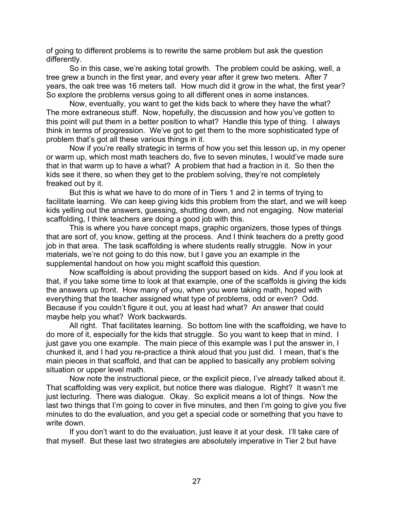of going to different problems is to rewrite the same problem but ask the question differently.

So in this case, we're asking total growth. The problem could be asking, well, a tree grew a bunch in the first year, and every year after it grew two meters. After 7 years, the oak tree was 16 meters tall. How much did it grow in the what, the first year? So explore the problems versus going to all different ones in some instances.

Now, eventually, you want to get the kids back to where they have the what? The more extraneous stuff. Now, hopefully, the discussion and how you've gotten to this point will put them in a better position to what? Handle this type of thing. I always think in terms of progression. We've got to get them to the more sophisticated type of problem that's got all these various things in it.

Now if you're really strategic in terms of how you set this lesson up, in my opener or warm up, which most math teachers do, five to seven minutes, I would've made sure that in that warm up to have a what? A problem that had a fraction in it. So then the kids see it there, so when they get to the problem solving, they're not completely freaked out by it.

But this is what we have to do more of in Tiers 1 and 2 in terms of trying to facilitate learning. We can keep giving kids this problem from the start, and we will keep kids yelling out the answers, guessing, shutting down, and not engaging. Now material scaffolding, I think teachers are doing a good job with this.

This is where you have concept maps, graphic organizers, those types of things that are sort of, you know, getting at the process. And I think teachers do a pretty good job in that area. The task scaffolding is where students really struggle. Now in your materials, we're not going to do this now, but I gave you an example in the supplemental handout on how you might scaffold this question.

Now scaffolding is about providing the support based on kids. And if you look at that, if you take some time to look at that example, one of the scaffolds is giving the kids the answers up front. How many of you, when you were taking math, hoped with everything that the teacher assigned what type of problems, odd or even? Odd. Because if you couldn't figure it out, you at least had what? An answer that could maybe help you what? Work backwards.

All right. That facilitates learning. So bottom line with the scaffolding, we have to do more of it, especially for the kids that struggle. So you want to keep that in mind. I just gave you one example. The main piece of this example was I put the answer in, I chunked it, and I had you re-practice a think aloud that you just did. I mean, that's the main pieces in that scaffold, and that can be applied to basically any problem solving situation or upper level math.

Now note the instructional piece, or the explicit piece, I've already talked about it. That scaffolding was very explicit, but notice there was dialogue. Right? It wasn't me just lecturing. There was dialogue. Okay. So explicit means a lot of things. Now the last two things that I'm going to cover in five minutes, and then I'm going to give you five minutes to do the evaluation, and you get a special code or something that you have to write down.

If you don't want to do the evaluation, just leave it at your desk. I'll take care of that myself. But these last two strategies are absolutely imperative in Tier 2 but have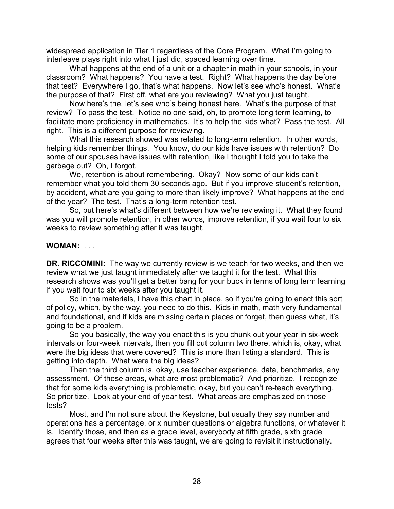widespread application in Tier 1 regardless of the Core Program. What I'm going to interleave plays right into what I just did, spaced learning over time.

What happens at the end of a unit or a chapter in math in your schools, in your classroom? What happens? You have a test. Right? What happens the day before that test? Everywhere I go, that's what happens. Now let's see who's honest. What's the purpose of that? First off, what are you reviewing? What you just taught.

Now here's the, let's see who's being honest here. What's the purpose of that review? To pass the test. Notice no one said, oh, to promote long term learning, to facilitate more proficiency in mathematics. It's to help the kids what? Pass the test. All right. This is a different purpose for reviewing.

What this research showed was related to long-term retention. In other words, helping kids remember things. You know, do our kids have issues with retention? Do some of our spouses have issues with retention, like I thought I told you to take the garbage out? Oh, I forgot.

We, retention is about remembering. Okay? Now some of our kids can't remember what you told them 30 seconds ago. But if you improve student's retention, by accident, what are you going to more than likely improve? What happens at the end of the year? The test. That's a long-term retention test.

So, but here's what's different between how we're reviewing it. What they found was you will promote retention, in other words, improve retention, if you wait four to six weeks to review something after it was taught.

# **WOMAN:** . . .

**DR. RICCOMINI:** The way we currently review is we teach for two weeks, and then we review what we just taught immediately after we taught it for the test. What this research shows was you'll get a better bang for your buck in terms of long term learning if you wait four to six weeks after you taught it.

So in the materials, I have this chart in place, so if you're going to enact this sort of policy, which, by the way, you need to do this. Kids in math, math very fundamental and foundational, and if kids are missing certain pieces or forget, then guess what, it's going to be a problem.

So you basically, the way you enact this is you chunk out your year in six-week intervals or four-week intervals, then you fill out column two there, which is, okay, what were the big ideas that were covered? This is more than listing a standard. This is getting into depth. What were the big ideas?

Then the third column is, okay, use teacher experience, data, benchmarks, any assessment. Of these areas, what are most problematic? And prioritize. I recognize that for some kids everything is problematic, okay, but you can't re-teach everything. So prioritize. Look at your end of year test. What areas are emphasized on those tests?

Most, and I'm not sure about the Keystone, but usually they say number and operations has a percentage, or x number questions or algebra functions, or whatever it is. Identify those, and then as a grade level, everybody at fifth grade, sixth grade agrees that four weeks after this was taught, we are going to revisit it instructionally.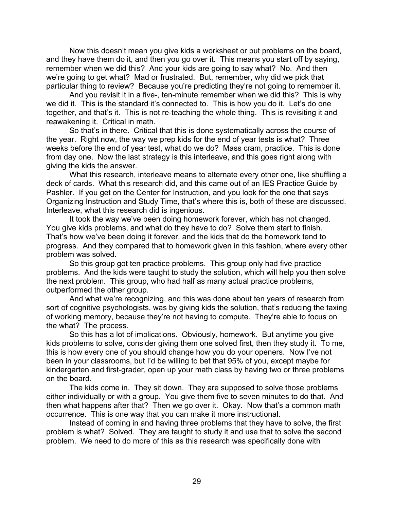Now this doesn't mean you give kids a worksheet or put problems on the board, and they have them do it, and then you go over it. This means you start off by saying, remember when we did this? And your kids are going to say what? No. And then we're going to get what? Mad or frustrated. But, remember, why did we pick that particular thing to review? Because you're predicting they're not going to remember it.

And you revisit it in a five-, ten-minute remember when we did this? This is why we did it. This is the standard it's connected to. This is how you do it. Let's do one together, and that's it. This is not re-teaching the whole thing. This is revisiting it and reawakening it. Critical in math.

So that's in there. Critical that this is done systematically across the course of the year. Right now, the way we prep kids for the end of year tests is what? Three weeks before the end of year test, what do we do? Mass cram, practice. This is done from day one. Now the last strategy is this interleave, and this goes right along with giving the kids the answer.

What this research, interleave means to alternate every other one, like shuffling a deck of cards. What this research did, and this came out of an IES Practice Guide by Pashler. If you get on the Center for Instruction, and you look for the one that says Organizing Instruction and Study Time, that's where this is, both of these are discussed. Interleave, what this research did is ingenious.

It took the way we've been doing homework forever, which has not changed. You give kids problems, and what do they have to do? Solve them start to finish. That's how we've been doing it forever, and the kids that do the homework tend to progress. And they compared that to homework given in this fashion, where every other problem was solved.

So this group got ten practice problems. This group only had five practice problems. And the kids were taught to study the solution, which will help you then solve the next problem. This group, who had half as many actual practice problems, outperformed the other group.

And what we're recognizing, and this was done about ten years of research from sort of cognitive psychologists, was by giving kids the solution, that's reducing the taxing of working memory, because they're not having to compute. They're able to focus on the what? The process.

So this has a lot of implications. Obviously, homework. But anytime you give kids problems to solve, consider giving them one solved first, then they study it. To me, this is how every one of you should change how you do your openers. Now I've not been in your classrooms, but I'd be willing to bet that 95% of you, except maybe for kindergarten and first-grader, open up your math class by having two or three problems on the board.

The kids come in. They sit down. They are supposed to solve those problems either individually or with a group. You give them five to seven minutes to do that. And then what happens after that? Then we go over it. Okay. Now that's a common math occurrence. This is one way that you can make it more instructional.

Instead of coming in and having three problems that they have to solve, the first problem is what? Solved. They are taught to study it and use that to solve the second problem. We need to do more of this as this research was specifically done with